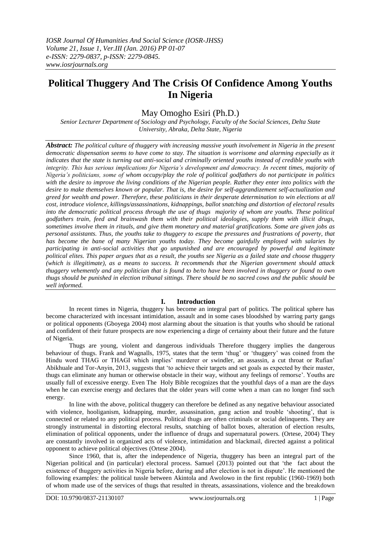# **Political Thuggery And The Crisis Of Confidence Among Youths In Nigeria**

# May Omogho Esiri (Ph.D.)

*Senior Lecturer Department of Sociology and Psychology, Faculty of the Social Sciences, Delta State University, Abraka, Delta State, Nigeria*

*Abstract: The political culture of thuggery with increasing massive youth involvement in Nigeria in the present democratic dispensation seems to have come to stay. The situation is worrisome and alarming especially as it indicates that the state is turning out anti-social and criminally oriented youths instead of credible youths with integrity. This has serious implications for Nigeria's development and democracy. In recent times, majority of Nigeria's politicians, some of whom occupy/play the role of political godfathers do not participate in politics with the desire to improve the living conditions of the Nigerian people. Rather they enter into politics with the desire to make themselves known or popular. That is, the desire for self-aggrandizement self-actualization and greed for wealth and power. Therefore, these politicians in their desperate determination to win elections at all cost, introduce violence, killings/assassinations, kidnappings, ballot snatching and distortion of electoral results into the democratic political process through the use of thugs majority of whom are youths. These political godfathers train, feed and brainwash them with their political ideologies, supply them with illicit drugs, sometimes involve them in rituals, and give them monetary and material gratifications. Some are given jobs as personal assistants. Thus, the youths take to thuggery to escape the pressures and frustrations of poverty, that has become the bane of many Nigerian youths today. They become gainfully employed with salaries by participating in anti-social activities that go unpunished and are encouraged by powerful and legitimate political elites. This paper argues that as a result, the youths see Nigeria as a failed state and choose thuggery (which is illegitimate), as a means to success. It recommends that the Nigerian government should attack thuggery vehemently and any politician that is found to be/to have been involved in thuggery or found to own thugs should be punished in election tribunal sittings. There should be no sacred cows and the public should be well informed.*

# **I. Introduction**

In recent times in Nigeria, thuggery has become an integral part of politics. The political sphere has become characterized with incessant intimidation, assault and in some cases bloodshed by warring party gangs or political opponents (Gboyega 2004) most alarming about the situation is that youths who should be rational and confident of their future prospects are now experiencing a dirge of certainty about their future and the future of Nigeria.

Thugs are young, violent and dangerous individuals Therefore thuggery implies the dangerous behaviour of thugs. Frank and Wagnalls, 1975, states that the term "thug" or "thuggery" was coined from the Hindu word THAG or THAGI which implies" murderer or swindler, an assassin, a cut throat or Rufian" Abikhuale and Tor-Anyin, 2013, suggests that "to achieve their targets and set goals as expected by their master, thugs can eliminate any human or otherwise obstacle in their way, without any feelings of remorse". Youths are usually full of excessive energy. Even The Holy Bible recognizes that the youthful days of a man are the days when he can exercise energy and declares that the older years will come when a man can no longer find such energy.

In line with the above, political thuggery can therefore be defined as any negative behaviour associated with violence, hooliganism, kidnapping, murder, assassination, gang action and trouble "shooting", that is connected or related to any political process. Political thugs are often criminals or social delinquents. They are strongly instrumental in distorting electoral results, snatching of ballot boxes, alteration of election results, elimination of political opponents, under the influence of drugs and supernatural powers. (Ortese, 2004) They are constantly involved in organized acts of violence, intimidation and blackmail, directed against a political opponent to achieve political objectives (Ortese 2004).

Since 1960, that is, after the independence of Nigeria, thuggery has been an integral part of the Nigerian political and (in particular) electoral process. Samuel (2013) pointed out that "the fact about the existence of thuggery activities in Nigeria before, during and after election is not in dispute". He mentioned the following examples: the political tussle between Akintola and Awolowo in the first republic (1960-1969) both of whom made use of the services of thugs that resulted in threats, assassinations, violence and the breakdown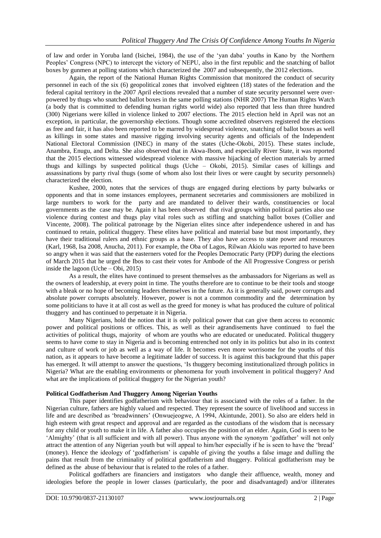of law and order in Yoruba land (Isichei, 1984), the use of the "yan daba" youths in Kano by the Northern Peoples" Congress (NPC) to intercept the victory of NEPU, also in the first republic and the snatching of ballot boxes by gunmen at polling stations which characterized the 2007 and subsequently, the 2012 elections.

Again, the report of the National Human Rights Commission that monitored the conduct of security personnel in each of the six (6) geopolitical zones that involved eighteen (18) states of the federation and the federal capital territory in the 2007 April elections revealed that a number of state security personnel were overpowered by thugs who snatched ballot boxes in the same polling stations (NHR 2007) The Human Rights Watch (a body that is committed to defending human rights world wide) also reported that less than three hundred (300) Nigerians were killed in violence linked to 2007 elections. The 2015 election held in April was not an exception, in particular, the governorship elections. Though some accredited observers registered the elections as free and fair, it has also been reported to be marred by widespread violence, snatching of ballot boxes as well as killings in some states and massive rigging involving security agents and officials of the Independent National Electoral Commission (INEC) in many of the states (Uche-Okobi, 2015). These states include, Anambra, Enugu, and Delta. She also observed that in Akwa-Ibom, and especially River State, it was reported that the 2015 elections witnessed widespread violence with massive hijacking of election materials by armed thugs and killings by suspected political thugs (Uche – Okobi, 2015). Similar cases of killings and assassinations by party rival thugs (some of whom also lost their lives or were caught by security personnels) characterized the election.

Kushee, 2000, notes that the services of thugs are engaged during elections by party bulwarks or opponents and that in some instances employees, permanent secretaries and commissioners are mobilized in large numbers to work for the party and are mandated to deliver their wards, constituencies or local governments as the case may be. Again it has been observed that rival groups within political parties also use violence during contest and thugs play vital roles such as stifling and snatching ballot boxes (Collier and Vincente, 2008). The political patronage by the Nigerian elites since after independence ushered in and has continued to retain, political thuggery. These elites have political and material base but most importantly, they have their traditional rulers and ethnic groups as a base. They also have access to state power and resources (Karl, 1968, Isa 2008, Anucha, 2011). For example, the Oba of Lagos, Rilwan Akiolu was reported to have been so angry when it was said that the easterners voted for the Peoples Democratic Party (PDP) during the elections of March 2015 that he urged the Ibos to cast their votes for Ambode of the All Progressive Congress or perish inside the lagoon (Uche – Obi, 2015)

As a result, the elites have continued to present themselves as the ambassadors for Nigerians as well as the owners of leadership, at every point in time. The youths therefore are to continue to be their tools and stooge with a bleak or no hope of becoming leaders themselves in the future. As it is generally said, power corrupts and absolute power corrupts absolutely. However, power is not a common commodity and the determination by some politicians to have it at all cost as well as the greed for money is what has produced the culture of political thuggery and has continued to perpetuate it in Nigeria.

Many Nigerians, hold the notion that it is only political power that can give them access to economic power and political positions or offices. This, as well as their agrandisements have continued to fuel the activities of political thugs, majority of whom are youths who are educated or uneducated. Political thuggery seems to have come to stay in Nigeria and is becoming entrenched not only in its politics but also in its context and culture of work or job as well as a way of life. It becomes even more worrisome for the youths of this nation, as it appears to have become a legitimate ladder of success. It is against this background that this paper has emerged. It will attempt to answer the questions, "Is thuggery becoming institutionalized through politics in Nigeria? What are the enabling environments or phenomena for youth involvement in political thuggery? And what are the implications of political thuggery for the Nigerian youth?

#### **Political Godfatherism And Thuggery Among Nigerian Youths**

This paper identifies godfatherism with behaviour that is associated with the roles of a father. In the Nigerian culture, fathers are highly valued and respected. They represent the source of livelihood and success in life and are described as 'breadwinners' (Onwuejeogwe, A 1994, Akintunde, 2001). So also are elders held in high esteem with great respect and approval and are regarded as the custodians of the wisdom that is necessary for any child or youth to make it in life. A father also occupies the position of an elder. Again, God is seen to be "Almighty" (that is all sufficient and with all power). Thus anyone with the synonym "godfather" will not only attract the attention of any Nigerian youth but will appeal to him/her especially if he is seen to have the "bread" (money). Hence the ideology of "godfatherism" is capable of giving the youths a false image and dulling the pains that result from the criminality of political godfatherism and thuggery. Political godfatherism may be defined as the abuse of behaviour that is related to the roles of a father.

Political godfathers are financiers and instigators who dangle their affluence, wealth, money and ideologies before the people in lower classes (particularly, the poor and disadvantaged) and/or illiterates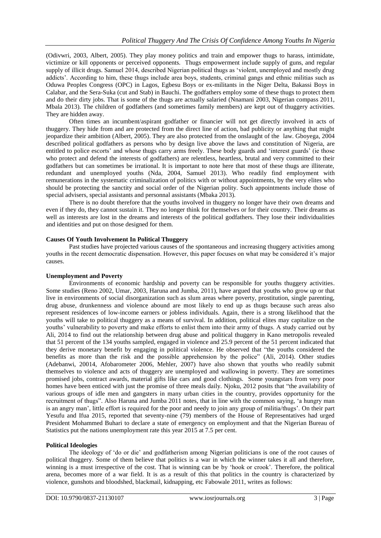(Odivwri, 2003, Albert, 2005). They play money politics and train and empower thugs to harass, intimidate, victimize or kill opponents or perceived opponents. Thugs empowerment include supply of guns, and regular supply of illicit drugs. Samuel 2014, described Nigerian political thugs as "violent, unemployed and mostly drug addicts". According to him, these thugs include area boys, students, criminal gangs and ethnic militias such as Oduwa Peoples Congress (OPC) in Lagos, Egbesu Boys or ex-militants in the Niger Delta, Bakassi Boys in Calabar, and the Sera-Suka (cut and Stab) in Bauchi. The godfathers employ some of these thugs to protect them and do their dirty jobs. That is some of the thugs are actually salaried (Nnamani 2003, Nigerian compass 2011, Mbala 2013). The children of godfathers (and sometimes family members) are kept out of thuggery activities. They are hidden away.

Often times an incumbent/aspirant godfather or financier will not get directly involved in acts of thuggery. They hide from and are protected from the direct line of action, bad publicity or anything that might jeopardize their ambition (Albert, 2005). They are also protected from the onslaught of the law. Gboyega, 2004 described political godfathers as persons who by design live above the laws and constitution of Nigeria, are entitled to police escorts" and whose thugs carry arms freely. These body guards and "interest guards" (ie those who protect and defend the interests of godfathers) are relentless, heartless, brutal and very committed to their godfathers but can sometimes be irrational. It is important to note here that most of these thugs are illiterate, redundant and unemployed youths (Nda, 2004, Samuel 2013). Who readily find employment with remunerations in the systematic criminalization of politics with or without appointments, by the very elites who should be protecting the sanctity and social order of the Nigerian polity. Such appointments include those of special advisers, special assistants and personnal assistants (Mbaka 2013).

There is no doubt therefore that the youths involved in thuggery no longer have their own dreams and even if they do, they cannot sustain it. They no longer think for themselves or for their country. Their dreams as well as interests are lost in the dreams and interests of the political godfathers. They lose their individualities and identities and put on those designed for them.

# **Causes Of Youth Involvement In Political Thuggery**

Past studies have projected various causes of the spontaneous and increasing thuggery activities among youths in the recent democratic dispensation. However, this paper focuses on what may be considered it's major causes.

# **Unemployment and Poverty**

Environments of economic hardship and poverty can be responsible for youths thuggery activities. Some studies (Reno 2002, Umar, 2003, Haruna and Jumba, 2011), have argued that youths who grow up or that live in environments of social disorganization such as slum areas where poverty, prostitution, single parenting, drug abuse, drunkenness and violence abound are most likely to end up as thugs because such areas also represent residences of low-income earners or jobless individuals. Again, there is a strong likelihood that the youths will take to political thuggery as a means of survival. In addition, political elites may capitalize on the youths" vulnerability to poverty and make efforts to enlist them into their army of thugs. A study carried out by Ali, 2014 to find out the relationship between drug abuse and political thuggery in Kano metropolis revealed that 51 percent of the 134 youths sampled, engaged in violence and 25.9 percent of the 51 percent indicated that they derive monetary benefit by engaging in political violence. He observed that "the youths considered the benefits as more than the risk and the possible apprehension by the police" (Ali, 2014). Other studies (Adebanwi, 20014, Afobarometer 2006, Mehler, 2007) have also shown that youths who readily submit themselves to violence and acts of thuggery are unemployed and wallowing in poverty. They are sometimes promised jobs, contract awards, material gifts like cars and good clothings. Some youngstars from very poor homes have been enticed with just the promise of three meals daily. Njoku, 2012 posits that "the availability of various groups of idle men and gangsters in many urban cities in the country, provides opportunity for the recruitment of thugs". Also Haruna and Jumba 2011 notes, that in line with the common saying, "a hungry man is an angry man', little effort is required for the poor and needy to join any group of militia/thugs'. On their part Yesufu and Ifua 2015, reported that seventy-nine (79) members of the House of Representatives had urged President Mohammed Buhari to declare a state of emergency on employment and that the Nigerian Bureau of Statistics put the nations unemployment rate this year 2015 at 7.5 per cent.

# **Political Ideologies**

The ideology of "do or die" and godfatherism among Nigerian politicians is one of the root causes of political thuggery. Some of them believe that politics is a war in which the winner takes it all and therefore, winning is a must irrespective of the cost. That is winning can be by "hook or crook". Therefore, the political arena, becomes more of a war field. It is as a result of this that politics in the country is characterized by violence, gunshots and bloodshed, blackmail, kidnapping, etc Fabowale 2011, writes as follows: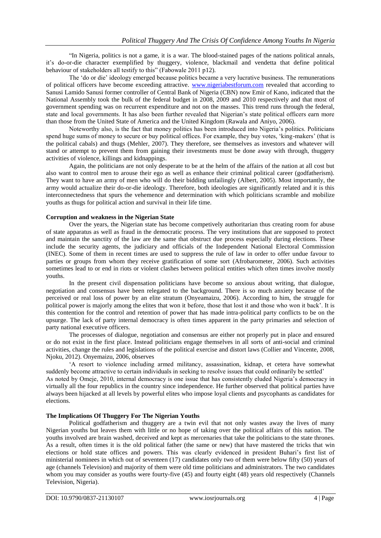"In Nigeria, politics is not a game, it is a war. The blood-stained pages of the nations political annals, it"s do-or-die character exemplified by thuggery, violence, blackmail and vendetta that define political behaviour of stakeholders all testify to this" (Fabowale 2011 p12).

The "do or die" ideology emerged because politics became a very lucrative business. The remunerations of political officers have become exceeding attractive. [www.nigeriabestforum.com](http://www.nigeriabestforum.com/) revealed that according to Sanusi Lamido Sanusi former controller of Central Bank of Nigeria (CBN) now Emir of Kano, indicated that the National Assembly took the bulk of the federal budget in 2008, 2009 and 2010 respectively and that most of government spending was on recurrent expenditure and not on the masses. This trend runs through the federal, state and local governments. It has also been further revealed that Nigerian"s state political officers earn more than those from the United State of America and the United Kingdom (Rawala and Aniyo, 2006).

Noteworthy also, is the fact that money politics has been introduced into Nigeria"s politics. Politicians spend huge sums of money to secure or buy political offices. For example, they buy votes, 'king-makers' (that is the political cabals) and thugs (Mehler, 2007). They therefore, see themselves as investors and whatever will stand or attempt to prevent them from gaining their investments must be done away with through, thuggery activities of violence, killings and kidnappings.

Again, the politicians are not only desperate to be at the helm of the affairs of the nation at all cost but also want to control men to arouse their ego as well as enhance their criminal political career (godfatherism). They want to have an army of men who will do their bidding unfailingly (Albert, 2005). Most importantly, the army would actualize their do-or-die ideology. Therefore, both ideologies are significantly related and it is this interconnectedness that spurs the vehemence and determination with which politicians scramble and mobilize youths as thugs for political action and survival in their life time.

#### **Corruption and weakness in the Nigerian State**

Over the years, the Nigerian state has become competively authoritarian thus creating room for abuse of state apparatus as well as fraud in the democratic process. The very institutions that are supposed to protect and maintain the sanctity of the law are the same that obstruct due process especially during elections. These include the security agents, the judiciary and officials of the Independent National Electoral Commission (INEC). Some of them in recent times are used to suppress the rule of law in order to offer undue favour to parties or groups from whom they receive gratification of some sort (Afrobarometer, 2006). Such activities sometimes lead to or end in riots or violent clashes between political entities which often times involve mostly youths.

In the present civil dispensation politicians have become so anxious about writing, that dialogue, negotiation and consensus have been relegated to the background. There is so much anxiety because of the perceived or real loss of power by an elite stratum (Onyeamaizu, 2006). According to him, the struggle for political power is majorly among the elites that won it before, those that lost it and those who won it back". It is this contention for the control and retention of power that has made intra-political party conflicts to be on the upsurge. The lack of party internal democracy is often times apparent in the party primaries and selection of party national executive officers.

The processes of dialogue, negotiation and consensus are either not properly put in place and ensured or do not exist in the first place. Instead politicians engage themselves in all sorts of anti-social and criminal activities, change the rules and legislations of the political exercise and distort laws (Collier and Vincente, 2008, Njoku, 2012). Onyemaizu, 2006, observes

"A resort to violence including armed militancy, assassination, kidnap, et cetera have somewhat suddenly become attractive to certain individuals in seeking to resolve issues that could ordinarily be settled' As noted by Omeje, 2010, internal democracy is one issue that has consistently eluded Nigeria"s democracy in virtually all the four republics in the country since independence. He further observed that political parties have always been hijacked at all levels by powerful elites who impose loyal clients and psycophants as candidates for elections.

# **The Implications Of Thuggery For The Nigerian Youths**

Political godfatherism and thuggery are a twin evil that not only wastes away the lives of many Nigerian youths but leaves them with little or no hope of taking over the political affairs of this nation. The youths involved are brain washed, deceived and kept as mercenaries that take the politicians to the state thrones. As a result, often times it is the old political father (the same or new) that have mastered the tricks that win elections or hold state offices and powers. This was clearly evidenced in president Buhari's first list of ministerial nominees in which out of seventeen (17) candidates only two of them were below fifty (50) years of age (channels Television) and majority of them were old time politicians and administrators. The two candidates whom you may consider as youths were fourty-five (45) and fourty eight (48) years old respectively (Channels Television, Nigeria).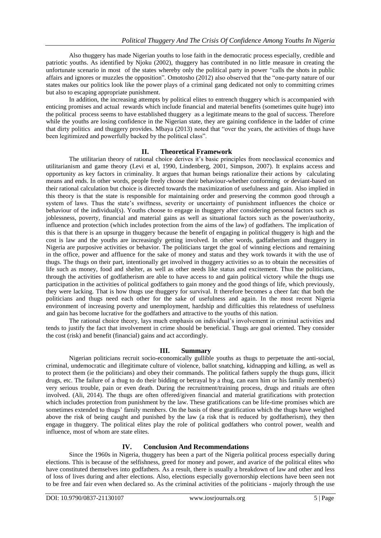Also thuggery has made Nigerian youths to lose faith in the democratic process especially, credible and patriotic youths. As identified by Njoku (2002), thuggery has contributed in no little measure in creating the unfortunate scenario in most of the states whereby only the political party in power "calls the shots in public affairs and ignores or muzzles the opposition". Omotosho (2012) also observed that the "one-party nature of our states makes our politics look like the power plays of a criminal gang dedicated not only to committing crimes but also to escaping appropriate punishment.

In addition, the increasing attempts by political elites to entrench thuggery which is accompanied with enticing promises and actual rewards which include financial and material benefits (sometimes quite huge) into the political process seems to have established thuggery as a legitimate means to the goal of success. Therefore while the youths are losing confidence in the Nigerian state, they are gaining confidence in the ladder of crime that dirty politics and thuggery provides. Mbaya (2013) noted that "over the years, the activities of thugs have been legitimized and powerfully backed by the political class".

# **II. Theoretical Framework**

The utilitarian theory of rational choice derives it's basic principles from neoclassical economics and utilitarianism and game theory (Levi et al, 1990, Lindenberg, 2001, Simpson, 2007). It explains access and opportunity as key factors in criminality. It argues that human beings rationalize their actions by calculating means and ends. In other words, people freely choose their behaviour-whether conforming or deviant-based on their rational calculation but choice is directed towards the maximization of usefulness and gain. Also implied in this theory is that the state is responsible for maintaining order and preserving the common good through a system of laws. Thus the state's swiftness, severity or uncertainty of punishment influences the choice or behaviour of the individual(s). Youths choose to engage in thuggery after considering personal factors such as joblessness, poverty, financial and material gains as well as situational factors such as the power/authority, influence and protection (which includes protection from the aims of the law) of godfathers. The implication of this is that there is an upsurge in thuggery because the benefit of engaging in political thuggery is high and the cost is law and the youths are increasingly getting involved. In other words, gadfatherism and thuggery in Nigeria are purposive activities or behavior. The politicians target the goal of winning elections and remaining in the office, power and affluence for the sake of money and status and they work towards it with the use of thugs. The thugs on their part, intentionally get involved in thuggery activities so as to obtain the necessities of life such as money, food and shelter, as well as other needs like status and excitement. Thus the politicians, through the activities of godfatherism are able to have access to and gain political victory while the thugs use participation in the activities of political godfathers to gain money and the good things of life, which previously, they were lacking. That is how thugs use thuggery for survival. It therefore becomes a cheer fatc that both the politicians and thugs need each other for the sake of usefulness and again. In the most recent Nigeria environment of increasing poverty and unemployment, hardship and difficulties this relatedness of usefulness and gain has become lucrative for the godfathers and attractive to the youths of this nation.

The rational choice theory, lays much emphasis on individual"s involvement in criminal activities and tends to justify the fact that involvement in crime should be beneficial. Thugs are goal oriented. They consider the cost (risk) and benefit (financial) gains and act accordingly.

# **III. Summary**

Nigerian politicians recruit socio-economically gullible youths as thugs to perpetuate the anti-social, criminal, undemocratic and illegitimate culture of violence, ballot snatching, kidnapping and killing, as well as to protect them (ie the politicians) and obey their commands. The political fathers supply the thugs guns, illicit drugs, etc. The failure of a thug to do their bidding or betrayal by a thug, can earn him or his family member(s) very serious trouble, pain or even death. During the recruitment/training process, drugs and rituals are often involved. (Ali, 2014). The thugs are often offered/given financial and material gratifications with protection which includes protection from punishment by the law. These gratifications can be life-time promises which are sometimes extended to thugs" family members. On the basis of these gratification which the thugs have weighed above the risk of being caught and punished by the law (a risk that is reduced by godfatherism), they then engage in thuggery. The political elites play the role of political godfathers who control power, wealth and influence, most of whom are state elites.

# **IV. Conclusion And Recommendations**

Since the 1960s in Nigeria, thuggery has been a part of the Nigeria political process especially during elections. This is because of the selfishness, greed for money and power, and avarice of the political elites who have constituted themselves into godfathers. As a result, there is usually a breakdown of law and other and less of loss of lives during and after elections. Also, elections especially governorship elections have been seen not to be free and fair even when declared so. As the criminal activities of the politicians - majorly through the use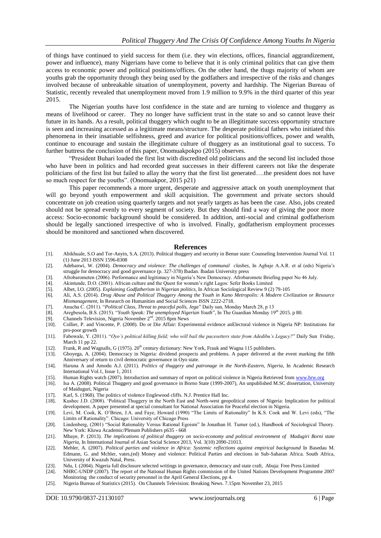of things have continued to yield success for them (i.e. they win elections, offices, financial aggrandizement, power and influence), many Nigerians have come to believe that it is only criminal politics that can give them access to economic power and political positions/offices. On the other hand, the thugs majority of whom are youths grab the opportunity through they being used by the godfathers and irrespective of the risks and changes involved because of unbreakable situation of unemployment, poverty and hardship. The Nigerian Bureau of Statistic, recently revealed that unemployment moved from 1.9 million to 9.9% in the third quarter of this year 2015.

The Nigerian youths have lost confidence in the state and are turning to violence and thuggery as means of livelihood or career. They no longer have sufficient trust in the state so and so cannot leave their future in its hands. As a result, political thuggery which ought to be an illegitimate success opportunity structure is seen and increasing accessed as a legitimate means/structure. The desperate political fathers who initiated this phenomena in their insatiable selfishness, greed and avarice for political positions/offices, power and wealth, continue to encourage and sustain the illegitimate culture of thuggery as an institutional goal to success. To further buttress the conclusion of this paper, Onomuakpokpo (2015) observes.

"President Buhari loaded the first list with discredited old politicians and the second list included those who have been in politics and had recorded great successes in their different careers not like the desperate politicians of the first list but failed to allay the worry that the first list generated….the president does not have so much respect for the youths". (Onomuakpor, 2015 p21)

This paper recommends a more urgent, desperate and aggressive attack on youth unemployment that will go beyond youth empowerment and skill acquisition. The government and private sectors should concentrate on job creation using quarterly targets and not yearly targets as has been the case. Also, jobs created should not be spread evenly to every segment of society. But they should find a way of giving the poor more access: Socio-economic background should be considered. In addition, anti-social and criminal godfatherism should be legally sanctioned irrespective of who is involved. Finally, godfatherism employment processes should be monitored and sanctioned when discovered.

#### **References**

- [1]. Abikhuale, S.O and Tor-Anyin, S.A. (2013). Political thuggery and security in Benue state: Counseling Intervention Journal Vol. 11 (1) June 2013 ISSN 1596-8308
- [2]. Adebanwi, W. (2004). *Democracy and violence: The challenges of communal clashes,* In Agbaje A.A.R. et al (eds) Nigeria"s struggle for democracy and good governance (p. 327-378) Ibadan. Ibadan University press
- [3]. Afrobarometen (2006). Performance and legitimacy in Nigeria's New Democracy. Afrobaromete Briefing paper No 46 July. [4]. Akintunde, D.O. (2001). African culture and the Quest for women's right Lagos: Sefer Books Limi
- [4]. Akintunde, D.O. (2001). African culture and the Quest for women's right Lagos: Sefer Books Limited [5]. Albet, I.O. (2005). Explaining Godfatherism in Nigerian politics, In African Sociological Review 9 (2)
- [5]. Albet, I.O. (2005). *Explaining Godfatherism in Nigerian politics*, In African Sociological Review 9 (2) 79-105
- [6]. Ali, A.S. (2014). *Drug Abuse and Political Thuggery Among the Youth in Kano Metropolis: A Modern Civilization or Resource Mismanagement*, In Research on Humanities and Social Sciences ISSN 2222-2718.
- [7]. Anucha C. (2011). "*Political Class, Threat to peaceful polls, Jega*" Daily sun, Monday March 28, p 13
- [8]. Aregbesola, B.S. (2015). "*Youth Speak: The unemployed Nigerian Youth*", In The Guardian Monday 19<sup>th</sup> 2015. p 80.
- 
- [9]. Channels Television, Nigeria November 2<sup>nd</sup>. 2015 8pm News<br>[10]. Collier, P. and Vincente, P. (2008). Do or Die Affair: Exper [10]. Collier, P. and Vincente, P. (2008). Do or Die Affair: Experimental evidence anElectoral violence in Nigeria NP: Institutions for pro-poor growth
- [11]. Fabowale, Y. (2011). "*Oyo's political killing field; who will bail the pacesetters state from Adedibu's Legacy?*" Daily Sun Friday, March 11 pp 22.
- [12]. Frank, R and Wagnalls, G (1975).  $20<sup>th</sup>$  century dictionary: New York, Frauk and Wagna 115 publishers.<br>[13]. Gbovega, A. (2004). Democracy in Nigeria: dividend prospects and problems. A paper delivered at
- [13]. Gboyega, A. (2004). Democracy in Nigeria: dividend prospects and problems. A paper delivered at the event marking the fifth Anniversary of return to civil democratic governance in Oyo state.
- [14]. Haruna A and Amodu A.J. (2011). *Politics of thuggery and patronage in the North-Eastern, Nigeria*, In Academic Research International Vol.1, Issue 1, 2011
- [15]. Human Rights watch (2007). Introduction and summary of report on political violence in Nigeria Retrieved fro[m www.hrw.org](http://www.hrw.org/)
- [16]. Isa A. (2008). Political Thuggery and good governance in Borno State (1999-2007), An unpublished M.SC dissertation, University of Maiduguri, Nigeria
- [17]. Karl, S. (1968). The politics of violence Englewood cliffs. N.J. Prentice Hall Inc.
- [18]. Kushec J.D. (2008). "Political Thuggery in the North East and North-west geopolitical zones of Nigeria: Implication for political development. A paper presented at special consultant for National Association for Peaceful election in Nigeria.
- [19]. Levi, M. Cook, K. O"Brien, J.A. and Faye, Howard (1990) "The Limits of Rationality" In K.S. Cook and W. Levi (eds), "The Limits of Rationality". Chicago: University of Chicago Press
- [20]. Lindenberg, (2001) "Social Rationality Versus Rational Egoism" In Jonathan H. Turner (ed.), Handbook of Sociological Theory. New York: Kluwa Academic/Plenum Publishers p635 - 668
- [21]. Mbaye, P. (2013). *The implications of political thuggery on socio-economy and political environment of Madugiri Borni state Nigeria*, In International Journal of Asian Social Science 2013, Vol. 3(10) 2090-21013.
- [22]. Mehler, A. (2007). *Political parties and violence in Africa: Systemic reflections against empirical background* In Basedau M. Edmann, G. and Mchler, vates,(ed) Money and violence: Political Parties and elections in Sub-Saharan Africa. South Africa, University of Kwazuh Natal, Press.
- [23]. Ndu, I. (2004). Nigeria full disclosure selected writings in governance, democracy and state craft, Abuja: Free Press Limited
- [24]. NHRC-UNDP (2007). The report of the National Human Rights commission of the United Nations Development Programme 2007 Monitoring the conduct of security personnel in the April General Elections, pp 4.
- [25]. Nigeria Bureau of Statistics (2015). On Channels Television: Breaking News. 7.15pm November 23, 2015